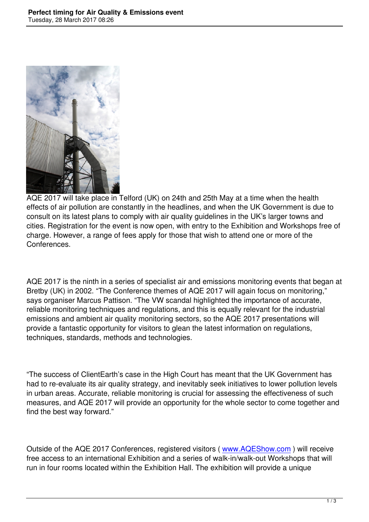

AQE 2017 will take place in Telford (UK) on 24th and 25th May at a time when the health effects of air pollution are constantly in the headlines, and when the UK Government is due to consult on its latest plans to comply with air quality guidelines in the UK's larger towns and cities. Registration for the event is now open, with entry to the Exhibition and Workshops free of charge. However, a range of fees apply for those that wish to attend one or more of the Conferences.

AQE 2017 is the ninth in a series of specialist air and emissions monitoring events that began at Bretby (UK) in 2002. "The Conference themes of AQE 2017 will again focus on monitoring," says organiser Marcus Pattison. "The VW scandal highlighted the importance of accurate, reliable monitoring techniques and regulations, and this is equally relevant for the industrial emissions and ambient air quality monitoring sectors, so the AQE 2017 presentations will provide a fantastic opportunity for visitors to glean the latest information on regulations, techniques, standards, methods and technologies.

"The success of ClientEarth's case in the High Court has meant that the UK Government has had to re-evaluate its air quality strategy, and inevitably seek initiatives to lower pollution levels in urban areas. Accurate, reliable monitoring is crucial for assessing the effectiveness of such measures, and AQE 2017 will provide an opportunity for the whole sector to come together and find the best way forward."

Outside of the AQE 2017 Conferences, registered visitors ( www.AQEShow.com ) will receive free access to an international Exhibition and a series of walk-in/walk-out Workshops that will run in four rooms located within the Exhibition Hall. The exhibition will provide a unique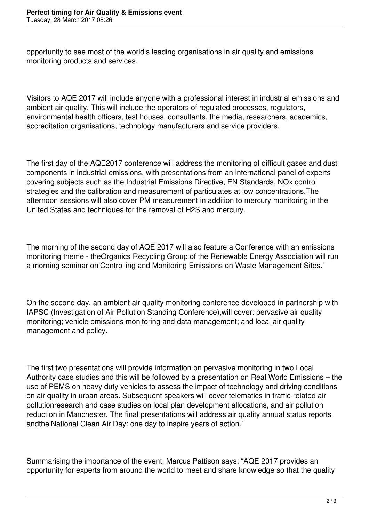opportunity to see most of the world's leading organisations in air quality and emissions monitoring products and services.

Visitors to AQE 2017 will include anyone with a professional interest in industrial emissions and ambient air quality. This will include the operators of regulated processes, regulators, environmental health officers, test houses, consultants, the media, researchers, academics, accreditation organisations, technology manufacturers and service providers.

The first day of the AQE2017 conference will address the monitoring of difficult gases and dust components in industrial emissions, with presentations from an international panel of experts covering subjects such as the Industrial Emissions Directive, EN Standards, NOx control strategies and the calibration and measurement of particulates at low concentrations.The afternoon sessions will also cover PM measurement in addition to mercury monitoring in the United States and techniques for the removal of H2S and mercury.

The morning of the second day of AQE 2017 will also feature a Conference with an emissions monitoring theme - theOrganics Recycling Group of the Renewable Energy Association will run a morning seminar on'Controlling and Monitoring Emissions on Waste Management Sites.'

On the second day, an ambient air quality monitoring conference developed in partnership with IAPSC (Investigation of Air Pollution Standing Conference),will cover: pervasive air quality monitoring; vehicle emissions monitoring and data management; and local air quality management and policy.

The first two presentations will provide information on pervasive monitoring in two Local Authority case studies and this will be followed by a presentation on Real World Emissions – the use of PEMS on heavy duty vehicles to assess the impact of technology and driving conditions on air quality in urban areas. Subsequent speakers will cover telematics in traffic-related air pollutionresearch and case studies on local plan development allocations, and air pollution reduction in Manchester. The final presentations will address air quality annual status reports andthe'National Clean Air Day: one day to inspire years of action.'

Summarising the importance of the event, Marcus Pattison says: "AQE 2017 provides an opportunity for experts from around the world to meet and share knowledge so that the quality